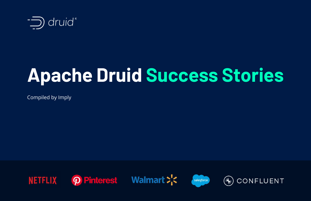Compiled by Imply





# **Apache Druid Success Stories**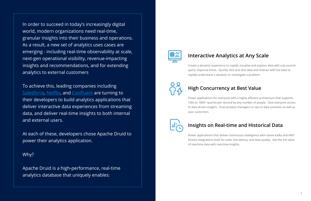In order to succeed in today's increasingly digital world, modern organizations need real-time, granular insights into their business and operations. As a result, a new set of analytics uses cases are emerging - including real-time observability at scale, next-gen operational visibility, revenue-impacting insights and recommendations, and for extending analytics to external customers

To achieve this, leading companies including [Salesforce](https://engineering.salesforce.com/delivering-high-quality-insights-interactively-using-apache-druid-at-salesforce-7a038f0fe3d1), [Netflix](https://netflixtechblog.com/how-netflix-uses-druid-for-real-time-insights-to-ensure-a-high-quality-experience-19e1e8568d06), and [Confluent](https://www.confluent.io/blog/scaling-apache-druid-for-real-time-cloud-analytics-at-confluent/) are turning to their developers to build analytics applications that deliver interactive data experiences from streaming data, and deliver real-time insights to both internal and external users.

At each of these, developers chose Apache Druid to power their analytics application.

Why?

Apache Druid is a high-performance, real-time analytics database that uniquely enables:



## **Interactive Analytics at Any Scale**

Create a dynamic experience to rapidly visualize and explore data with sub-second query response times. Quickly slice and dice data and interact with live data to rapidly understand a situation or investigate a problem.



## **High Concurrency at Best Value**

Power applications for everyone with a highly efficient architecture that supports 100s to 100K+ queries per second by any number of people. Give everyone access to data driven insights - from product managers to ops to data scientists as well as your customers.



## **Insights on Real-time and Historical Data**

Power applications that deliver continuous intelligence with native Kafka and AWS Kinesis integrations built for scale, low latency, and data quality. Get the full value of real-time data with real-time insights.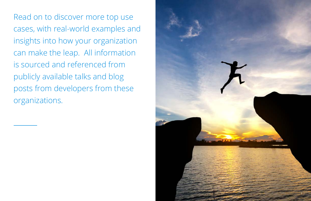Read on to discover more top use cases, with real-world examples and insights into how your organization can make the leap. All information is sourced and referenced from publicly available talks and blog posts from developers from these organizations.

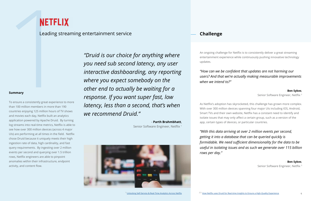

Leading streaming entertainment service **Challenge Challenge** 

#### **Summary**

**NETFLIX**<br>
Leading stre<br>
summary<br>
To ensure a consistently great experience to<br>
than 100 million members in more than 190 To ensure a consistently great experience to more than 100 million members in more than 190 countries enjoying 125 million hours of TV shows and movies each day, Netflix built an analytics application powered by Apache Druid. By turning log streams into real-time metrics, Netflix is able to see how over 300 million devices (across 4 major UIs) are performing at all times in the field. Netflix chose Druid because it uniquely meets their high ingestion rate of data, high cardinality, and fast query requirements. By ingesting over 2 million events per second and querying over 1.5 trillion rows, Netflix engineers are able to pinpoint anomalies within their infrastructure, endpoint activity, and content flow.

*"Druid is our choice for anything where you need sub second latency, any user interactive dashboarding, any reporting where you expect somebody on the other end to actually be waiting for a response. If you want super fast, low latency, less than a second, that's when we recommend Druid."*

> - **Parth Brahmbhatt**, Senior Software Engineer, Netflix <sup>1</sup>



An ongoing challenge for Netflix is to consistently deliver a great streaming entertainment experience while continuously pushing innovative technology updates.

## *"How can we be confident that updates are not harming our users? And that we're actually making measurable improvements*

*when we intend to?"* 

#### - **Ben Sykes**,

Senior Software Engineer, Netflix <sup>2</sup>

As Netflix's adoption has skyrocketed, this challenge has grown more complex. With over 300 million devices spanning four major UIs including IOS, Android, Smart TVs and their own website, Netflix has a constant need to identify and isolate issues that may only affect a certain group, such as a version of the app, certain types of devices, or particular countries.

*"With this data arriving at over 2 million events per second, getting it into a database that can be queried quickly is formidable. We need sufficient dimensionality for the data to be useful in isolating issues and as such we generate over 115 billion rows per day."* 

- **Ben Sykes**, Senior Software Engineer, Netflix <sup>3</sup>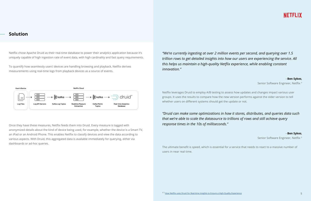Once they have these measures, Netflix feeds them into Druid. Every measure is tagged with anonymized details about the kind of device being used, for example, whether the device is a Smart TV, an iPad or an Android Phone. This enables Netflix to classify devices and view the data according to various aspects. With Druid, this aggregated data is available immediately for querying, either via dashboards or ad-hoc queries.

### **Solution**

Netflix chose Apache Druid as their real-time database to power their analytics application because it's uniquely capable of high ingestion rate of event data, with high cardinality and fast query requirements.

To quantify how seamlessly users' devices are handling browsing and playback, Netflix derives measurements using real-time logs from playback devices as a source of events.

# *trillion rows to get detailed insights into how our users are experiencing the service. All*





- **Ben Sykes**,

Senior Software Engineer, Netflix <sup>4</sup>

Netflix leverages Druid to employ A/B testing to assess how updates and changes impact various user groups. It uses the results to compare how the new version performs against the older version to tell whether users on different systems should get the update or not.

## *"Druid can make some optimizations in how it stores, distributes, and queries data such*

*that we're able to scale the datasource to trillions of rows and still achieve query response times in the 10s of milliseconds."* 

- **Ben Sykes**,

Senior Software Engineer, Netflix<sup>5</sup>

The ultimate benefit is speed, which is essential for a service that needs to react to a massive number of users in near real time.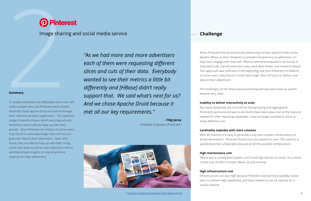

Image sharing and social media service **Challenge Challenge** 

#### **Summary**

#### [6 Pinterest: Powering Ad Analytics with Apache Druid](https://www.youtube.com/watch?v=LBXtK0DSQIw)

**19 Pinter**<br>
Image sharir<br>
20 Pinter<br>
20 Pinter<br>
20 Pinter<br>
20 Pinter<br>
20 Pinter<br>
20 Pinter<br>
20 Pinter<br>
20 Pinter<br>
20 Pinter<br>
20 Pinter<br>
20 Pinter<br>
20 Pinter<br>
20 Pinter<br>
20 Pinter<br>
20 Pinter<br>
20 Pinter<br>
20 Pinter<br>
20 Pinte To enable advertisers to effectively reach over 400 million people who use Pinterest every month, Pinterest chose Apache Druid to build Archmage, their real-time analytics application. This replaced usage of Apache Hbase, which was plagued with limitations and could not keep up with their growth. Once Pinterest hit millions of active users, they found it could take longer than 24 hours to give user data to their advertisers. Now, with Druid, they are able to keep up with their rising active user base as well as add additional metrics and data driven insights to help drive more revenue for their advertisers.

*"As we had more and more advertisers each of them were requesting different slices and cuts of their data. Everybody wanted to see their metrics a little bit differently and [HBase] didn't really support that. We said what's next for us? And we chose Apache Druid because it met all our key requirements."*

> - **Filip Jaros**, Software Engineer, Pinterest 6



When Pinterest first launched paid advertising on their platform they chose Apache HBase as their database to provide transparency to advertisers on how users engage with their ads. Metrics were precomputed in an hourly or daily batch job, transformed into a key value data model, and stored in Hbase. This approach was sufficient in the beginning, but once Pinterest hit millions of active users, they found it could take longer than 24 hours to deliver user data to their advertisers.

The challenges of the Hbase-based precomputed key value look up system

became very clear:

### **Inability to deliver interactivity at scale**

Key Value databases are not built for fast grouping and aggregation. Pinterest's work-around was to pre-build these data views, but as the features needed for their reporting expanded, it was no longer possible to store so many different cuts.

#### **Cardinality explodes with more columns**

With 30 columns it is easy to generate a key that includes combinations of all the dimensions. Pinterest found once you expand to over 100 columns it quickly becomes unbearable because of all the possible combinations.

#### **High maintenance cost**

HBase was a complicated system, and it had high barriers to entry. As a result, it took a lot of effort to keep HBase up and running

**High infrastructure cost** Infrastructure cost was high because Pinterest used primary-standby cluster pairs to achieve high availability, and they needed to use six replicas for a unique dataset.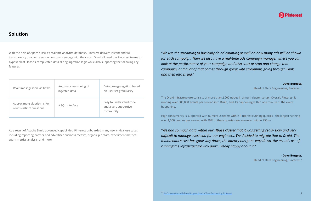With the help of Apache Druid's realtime analytics database, Pinterest delivers instant and full transparency to advertisers on how users engage with their ads. Druid allowed the Pinterest teams to bypass all of Hbase's complicated data slicing ingestion logic while also supporting the following key features:

As a result of Apache Druid advanced capabilities, Pinterest onboarded many new critical use cases including reporting partner and advertiser business metrics, organic pin stats, experiment metrics, spam metrics analysis, and more.

*look at the performance of your campaign and also start or stop and change that campaign, and a lot of that comes through going with streaming, going through Flink, and then into Druid."*

| Real-time ingestion via Kafka                          | Automatic versioning of<br>ingested data | Data pre-aggregation based<br>on user-set granularity         |
|--------------------------------------------------------|------------------------------------------|---------------------------------------------------------------|
| Approximate algorithms for<br>count-distinct questions | A SQL interface                          | Easy to understand code<br>and a very supportive<br>community |

## *"We use the streaming to basically do ad counting as well on how many ads will be shown for each campaign. Then we also have a real-time ads campaign manager where you can*

- **Dave Burgess**, Head of Data Engineering, Pinterest<sup>8</sup>

- **Dave Burgess**,

Head of Data Engineering, Pinterest 7

The Druid infrastructure consists of more than 2,000 nodes in a multi-cluster setup. Overall, Pinterest is running over 500,000 events per second into Druid, and it's happening within one minute of the event happening.

High concurrency is supported with numerous teams within Pinterest running queries - the largest running over 1,000 queries per second with 99% of these queries are answered within 250ms.

*"We had so much data within our HBase cluster that it was getting really slow and very difficult to manage overhead for our engineers. We decided to migrate that to Druid. The maintenance cost has gone way down, the latency has gone way down, the actual cost of running the infrastructure way down. Really happy about it."*

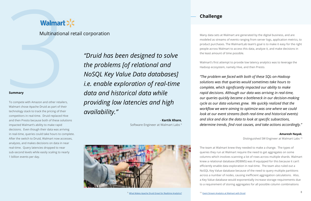#### **Summary**

**Walmart**<br>
Multinational<br>
Summary<br>
To compete with Amazon and other retailers<br>
Walmart chose Apache Druid as part of their To compete with Amazon and other retailers, Walmart chose Apache Druid as part of their technology stack to track the pricing of their competitors in real-time. Druid replaced Hive and then Presto because both of these solutions impacted Walmart's ability to make rapid decisions. Even though their data was arriving in real-time, queries could take hours to complete. After the switch to Druid, Walmart now accesses, analyzes, and makes decisions on data in near real-time. Query latencies dropped to near sub-second levels while easily scaling to nearly 1 billion events per day.

*"Druid has been designed to solve the problems [of relational and NoSQL Key Value Data databases] i.e. enable exploration of real-time data and historical data while providing low latencies and high availability."*

> - **Kartik Khare**, Software Engineer at Walmart Labs 9



Multinational retail corporation

Many data sets at Walmart are generated by the digital business, and are modeled as streams of events ranging from server logs, application metrics, to product purchases. The WalmartLab team's goal is to make it easy for the right people across Walmart to access this data, analyze it, and make decisions in the least amount of time possible.

Walmart's first attempt to provide low latency analytics was to leverage the Hadoop ecosystem, namely Hive, and then Presto.

*"The problem we faced with both of these SQL-on-Hadoop solutions was that queries would sometimes take hours to complete, which significantly impacted our ability to make rapid decisions. Although our data was arriving in real-time, our queries quickly became a bottleneck in our decision-making cycle as our data volumes grew. We quickly realized that the workflow we were aiming to optimize was one where we could look at our event streams (both real-time and historical events) and slice and dice the data to look at specific subsections, determine trends, find root causes, and take actions accordingly."* 

#### - **Amaresh Nayak**,

Distinguished SW Engineer at Walmart Labs 10

The team at Walmart knew they needed to make a change. The types of queries they run at Walmart require the need to get aggregates on some columns which involves scanning a lot of rows across multiple shards. Walmart knew a relational database (RDBMS) was ill equipped for this because it can't efficiently enable data exploration in real-time. The team also ruled out a NoSQL Key Value database because of the need to query multiple partitions across a number of nodes, causing inefficient aggregation calculations. Also, a Key Value database would exponentially increase storage requirements due to a requirement of storing aggregates for all possible column combinations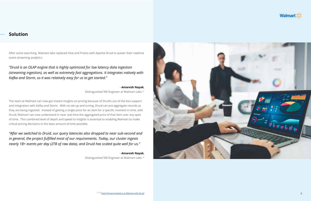After some searching, Walmart labs replaced Hive and Presto with Apache Druid to power their realtime event streaming analytics.

*"Druid is an OLAP engine that is highly optimized for low latency data ingestion (streaming ingestion), as well as extremely fast aggregations. It integrates natively with Kafka and Storm, so it was relatively easy for us to get started."*

> - **Amaresh Nayak**, Distinguished SW Engineer at Walmart Labs 11

The team at Walmart can now get instant insights on pricing because of Druid's out of the box support and integration with Kafka and Storm. With no set-up and tuning, Druid can pre-aggregate records as they are being ingested. Instead of getting a single price for an item for a specific moment in time, with Druid, Walmart can now understand in near real-time the aggregated price of that item over any span of time. This combined level of depth and speed to insights is essential to enabling Walmart to make critical pricing decisions in the least amount of time possible.



*"After we switched to Druid, our query latencies also dropped to near sub-second and in general, the project fulfilled most of our requirements. Today, our cluster ingests nearly 1B+ events per day (2TB of raw data), and Druid has scaled quite well for us."*

> - **Amaresh Nayak**, Distinguished SW Engineer at Walmart Labs 12

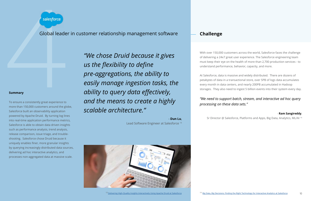

### Global leader in customer relationship management software **Challenge**

#### **Summary**

Salesforce<br>
Global leade<br>
Examinary<br>
To ensure a consistently great experience to<br>
more than 150,000 customers around the glo To ensure a consistently great experience to more than 150,000 customers around the globe, Salesforce built an observability application powered by Apache Druid. By turning log lines into real-time application performance metrics, Salesforce is able to obtain data driven insights such as performance analysis, trend analysis, release comparison, issue triage, and troubleshooting. Salesforce chose Druid because it uniquely enables finer, more granular insights by querying increasingly distributed data sources, delivering ad hoc interactive analytics, and processes non-aggregated data at massive scale.

*"We chose Druid because it gives us the flexibility to define pre-aggregations, the ability to easily manage ingestion tasks, the ability to query data effectively, and the means to create a highly scalable architecture."*

#### - **Dun Lu**,

Lead Software Engineer at Salesforce 13



#### <sup>13</sup> [Delivering High-Quality Insights Interactively Using Apache Druid at Salesforce](https://engineering.salesforce.com/delivering-high-quality-insights-interactively-using-apache-druid-at-salesforce-7a038f0fe3d1)

With over 150,000 customers across the world, Salesforce faces the challenge of delivering a 24x7 great user experience. The Salesforce engineering team must keep their eye on the health of more than 2,700 production services - to understand performance, behavior, capacity, and more.

At Salesforce, data is massive and widely distributed. There are dozens of petabytes of data in a transactional store, over 5PB of logs data accumulates every month in data centers, and nearly 200PB accumulated in Hadoop storages. They also need to ingest 5 billion events into their system every day.

## *"We need to support batch, stream, and interactive ad hoc query*

*processing on these data sets."*

#### - **Ram Sangireddy**,

Sr Director @ Salesforce, Platforms and Apps, Big Data, Analytics, ML/AI <sup>14</sup>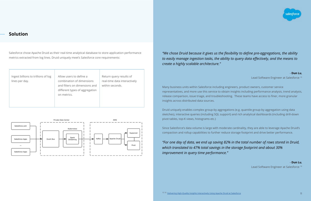Salesforce chose Apache Druid as their real-time analytical database to store application performance metrics extracted from log lines. Druid uniquely meet's Salesforce core requirements:





### *"We chose Druid because it gives us the flexibility to define pre-aggregations, the ability to easily manage ingestion tasks, the ability to query data effectively, and the means to*

*create a highly scalable architecture."*

- **Dun Lu**, Lead Software Engineer at Salesforce 15

Many business units within Salesforce including engineers, product owners, customer service representatives, and more use this service to obtain insights including performance analysis, trend analysis, release comparison, issue triage, and troubleshooting. These teams have access to finer, more granular insights across distributed data sources.

Druid uniquely enables complex group-by aggregations (e.g. quantile group-by aggregation using data sketches), interactive queries (including SQL support) and rich analytical dashboards (including drill-down pivot tables, top-K views, histograms etc.)

Since Salesforce's data volume is large with moderate cardinality, they are able to leverage Apache Druid's compaction and rollup capabilities to further reduce storage footprint and drive better performance.

## *"For one day of data, we end up saving 82% in the total number of rows stored in Druid,*

*which translated to 47% total savings in the storage footprint and about 30% improvement in query time performance."* 



- **Dun Lu**, Lead Software Engineer at Salesforce 16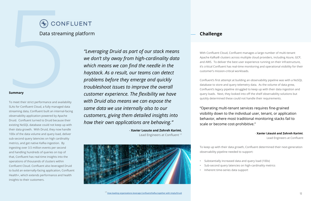#### **Summary**

To meet their strict performance and availability SLAs for Confluent Cloud, a fully managed data streaming data, Confluent built an internal-facing observability application powered by Apache Druid. Confluent turned to Druid because their existing NoSQL database could not keep up with their data growth. With Druid, they now handle 100x of the data volume and query load, deliver sub-second query latencies on high cardinality metrics, and get native Kafka ingestion. By ingesting over 3.5 million events per second and handling hundreds of queries on top of that, Confluent has real-time insights into the operations of thousands of clusters within Confluent Cloud. Confluent also leveraged Druid to build an externally-facing application, Confluent Health+, which extends performance and health insights to their customers.

- **Xavier Leaute and Zohreh Karimi**, Lead Engineers at Confluent<sup>17</sup>





*"Leveraging Druid as part of our stack means we don't shy away from high-cardinality data which means we can find the needle in the haystack. As a result, our teams can detect problems before they emerge and quickly troubleshoot issues to improve the overall customer experience. The flexibility we have with Druid also means we can expose the same data we use internally also to our customers, giving them detailed insights into how their own applications are behaving."* 

With Confluent Cloud, Confluent manages a large number of multi-tenant Apache Kafka® clusters across multiple cloud providers, including Azure, GCP, and AWS. To deliver the best user experience running on their infrastructure, it's critical Confluent has real-time monitoring and operational visibility for their customer's mission-critical workloads.

Confluent's first attempt at building an observability pipeline was with a NoSQL database to store and query telemetry data. As the volume of data grew, Confluent's legacy pipeline struggled to keep up with their data ingestion and query loads. Next, they looked into off the shelf observability solutions but quickly determined these could not handle their requirements.

"Operating multi-tenant services requires fine-grained visibility down to the individual user, tenant, or application behavior, where most traditional monitoring stacks fail to scale or become cost-prohibitive."

#### - **Xavier Léauté and Zohreh Karimi**,

Lead Engineers at Confluent

To keep up with their data growth, Confluent determined their next-generation observability pipeline needed to support:

• Substantially increased data and query load (100x) • Sub-second query latencies on high-cardinality metrics

- 
- 
- Inherent time-series data support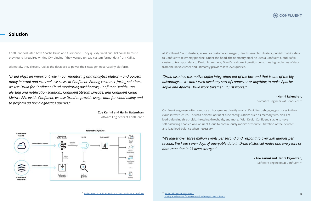Confluent evaluated both Apache Druid and Clickhouse. They quickly ruled out Clickhouse because they found it required writing C++ plugins if they wanted to read custom format data from Kafka.

Ultimately, they chose Druid as the database to power their next-gen observability platform.

*"Druid plays an important role in our monitoring and analytics platform and powers many internal and external use cases at Confluent. Among customer-facing solutions, we use Druid for Confluent Cloud monitoring dashboards, Confluent Health+ (an alerting and notification solution), Confluent Stream Lineage, and Confluent Cloud Metrics API. Inside Confluent, we use Druid to provide usage data for cloud billing and to perform ad hoc diagnostics queries."*

- **Zoe Karimi and Harini Rajendran**,

Software Engineers at Confluent <sup>18</sup>



All Confluent Cloud clusters, as well as customer-managed, Health+-enabled clusters, publish metrics data to Confluent's telemetry pipeline. Under the hood, the telemetry pipeline uses a Confluent Cloud Kafka cluster to transport data to Druid. From there, Druid's real-time ingestion consumes high volumes of data from the Kafka cluster and ultimately provides low-level queries.

*"Druid also has this native Kafka integration out of the box and that is one of the big advantages… we don't even need any sort of connector or anything to make Apache Kafka and Apache Druid work together. It just works."*

#### - **Harini Rajendran**,

Software Engineers at Confluent <sup>19</sup>

Confluent engineers often execute ad hoc queries directly against Druid for debugging purposes in their cloud infrastructure. This has helped Confluent tune configurations such as memory size, disk size, load-balancing thresholds, throttling thresholds, and more. With Druid, Confluent is able to have self-balancing enabled on Coniuent Cloud to continuously monitor resource utilization of their cluster and load load-balance when necessary.

*"We ingest over three million events per second and respond to over 250 queries per data retention in S3 deep storage."* 



## *second. We keep seven days of queryable data in Druid Historical nodes and two years of*

#### - **Zoe Karimi and Harini Rajendran**,

Software Engineers at Confluent <sup>20</sup>